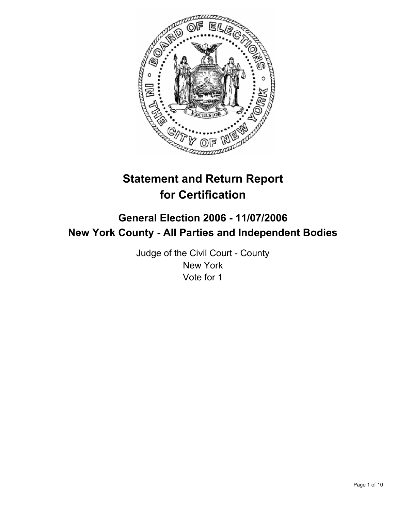

# **Statement and Return Report for Certification**

## **General Election 2006 - 11/07/2006 New York County - All Parties and Independent Bodies**

Judge of the Civil Court - County New York Vote for 1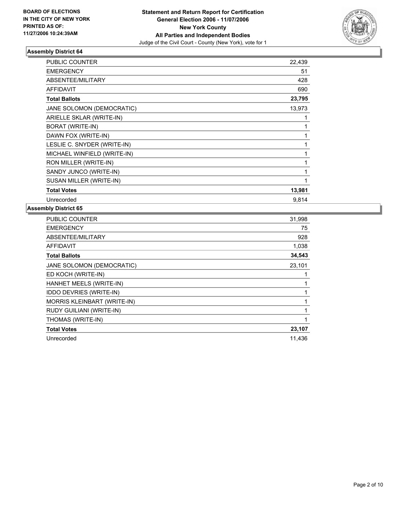

| <b>PUBLIC COUNTER</b>       | 22,439 |
|-----------------------------|--------|
| <b>EMERGENCY</b>            | 51     |
| ABSENTEE/MILITARY           | 428    |
| <b>AFFIDAVIT</b>            | 690    |
| <b>Total Ballots</b>        | 23,795 |
| JANE SOLOMON (DEMOCRATIC)   | 13,973 |
| ARIELLE SKLAR (WRITE-IN)    |        |
| <b>BORAT (WRITE-IN)</b>     |        |
| DAWN FOX (WRITE-IN)         |        |
| LESLIE C. SNYDER (WRITE-IN) |        |
| MICHAEL WINFIELD (WRITE-IN) |        |
| RON MILLER (WRITE-IN)       |        |
| SANDY JUNCO (WRITE-IN)      |        |
| SUSAN MILLER (WRITE-IN)     |        |
| <b>Total Votes</b>          | 13,981 |
| Unrecorded                  | 9,814  |

| <b>PUBLIC COUNTER</b>          | 31,998 |
|--------------------------------|--------|
| <b>EMERGENCY</b>               | 75     |
| ABSENTEE/MILITARY              | 928    |
| <b>AFFIDAVIT</b>               | 1,038  |
| <b>Total Ballots</b>           | 34,543 |
| JANE SOLOMON (DEMOCRATIC)      | 23,101 |
| ED KOCH (WRITE-IN)             |        |
| HANHET MEELS (WRITE-IN)        |        |
| <b>IDDO DEVRIES (WRITE-IN)</b> |        |
| MORRIS KLEINBART (WRITE-IN)    |        |
| RUDY GUILIANI (WRITE-IN)       |        |
| THOMAS (WRITE-IN)              |        |
| <b>Total Votes</b>             | 23,107 |
| Unrecorded                     | 11,436 |
|                                |        |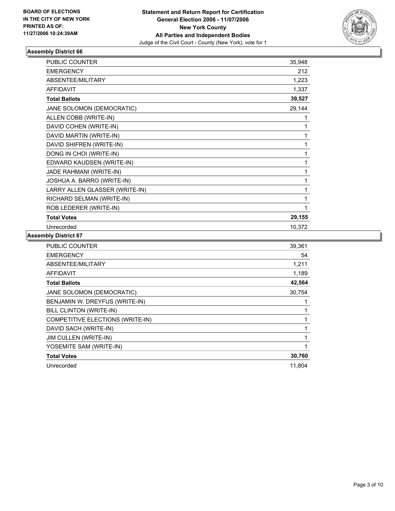

| <b>PUBLIC COUNTER</b>          | 35,948 |
|--------------------------------|--------|
| <b>EMERGENCY</b>               | 212    |
| ABSENTEE/MILITARY              | 1,223  |
| <b>AFFIDAVIT</b>               | 1,337  |
| <b>Total Ballots</b>           | 39,527 |
| JANE SOLOMON (DEMOCRATIC)      | 29,144 |
| ALLEN COBB (WRITE-IN)          |        |
| DAVID COHEN (WRITE-IN)         |        |
| DAVID MARTIN (WRITE-IN)        |        |
| DAVID SHIFREN (WRITE-IN)       |        |
| DONG IN CHOI (WRITE-IN)        |        |
| EDWARD KAUDSEN (WRITE-IN)      |        |
| JADE RAHMANI (WRITE-IN)        |        |
| JOSHUA A. BARRO (WRITE-IN)     |        |
| LARRY ALLEN GLASSER (WRITE-IN) |        |
| RICHARD SELMAN (WRITE-IN)      |        |
| ROB LEDERER (WRITE-IN)         |        |
| <b>Total Votes</b>             | 29,155 |
| Unrecorded                     | 10,372 |

| <b>PUBLIC COUNTER</b>            | 39,361 |
|----------------------------------|--------|
| <b>EMERGENCY</b>                 | 54     |
| ABSENTEE/MILITARY                | 1,211  |
| <b>AFFIDAVIT</b>                 | 1,189  |
| <b>Total Ballots</b>             | 42,564 |
| JANE SOLOMON (DEMOCRATIC)        | 30,754 |
| BENJAMIN W. DREYFUS (WRITE-IN)   |        |
| BILL CLINTON (WRITE-IN)          |        |
| COMPETITIVE ELECTIONS (WRITE-IN) |        |
| DAVID SACH (WRITE-IN)            |        |
| JIM CULLEN (WRITE-IN)            |        |
| YOSEMITE SAM (WRITE-IN)          |        |
| <b>Total Votes</b>               | 30,760 |
| Unrecorded                       | 11,804 |
|                                  |        |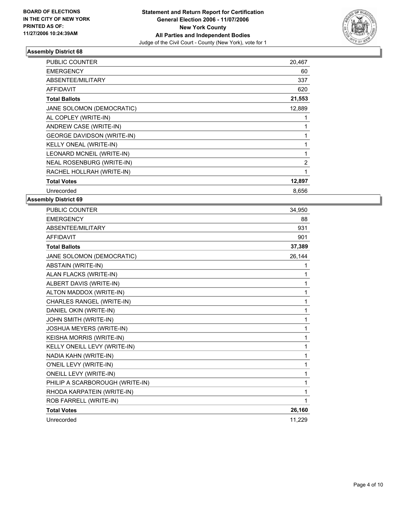

| PUBLIC COUNTER                    | 20,467 |
|-----------------------------------|--------|
| <b>EMERGENCY</b>                  | 60     |
| ABSENTEE/MILITARY                 | 337    |
| <b>AFFIDAVIT</b>                  | 620    |
| <b>Total Ballots</b>              | 21,553 |
| JANE SOLOMON (DEMOCRATIC)         | 12,889 |
| AL COPLEY (WRITE-IN)              |        |
| ANDREW CASE (WRITE-IN)            |        |
| <b>GEORGE DAVIDSON (WRITE-IN)</b> |        |
| KELLY ONEAL (WRITE-IN)            |        |
| LEONARD MCNEIL (WRITE-IN)         |        |
| NEAL ROSENBURG (WRITE-IN)         | 2      |
| RACHEL HOLLRAH (WRITE-IN)         |        |
| <b>Total Votes</b>                | 12,897 |
| Unrecorded                        | 8,656  |

| <b>PUBLIC COUNTER</b>           | 34,950 |
|---------------------------------|--------|
| <b>EMERGENCY</b>                | 88     |
| ABSENTEE/MILITARY               | 931    |
| <b>AFFIDAVIT</b>                | 901    |
| <b>Total Ballots</b>            | 37,389 |
| JANE SOLOMON (DEMOCRATIC)       | 26,144 |
| <b>ABSTAIN (WRITE-IN)</b>       | 1      |
| ALAN FLACKS (WRITE-IN)          | 1      |
| ALBERT DAVIS (WRITE-IN)         | 1      |
| ALTON MADDOX (WRITE-IN)         | 1      |
| CHARLES RANGEL (WRITE-IN)       | 1      |
| DANIEL OKIN (WRITE-IN)          | 1      |
| JOHN SMITH (WRITE-IN)           | 1      |
| JOSHUA MEYERS (WRITE-IN)        |        |
| KEISHA MORRIS (WRITE-IN)        | 1      |
| KELLY ONEILL LEVY (WRITE-IN)    | 1      |
| NADIA KAHN (WRITE-IN)           | 1      |
| O'NEIL LEVY (WRITE-IN)          | 1      |
| ONEILL LEVY (WRITE-IN)          | 1      |
| PHILIP A SCARBOROUGH (WRITE-IN) | 1      |
| RHODA KARPATEIN (WRITE-IN)      | 1      |
| ROB FARRELL (WRITE-IN)          |        |
| <b>Total Votes</b>              | 26,160 |
| Unrecorded                      | 11,229 |
|                                 |        |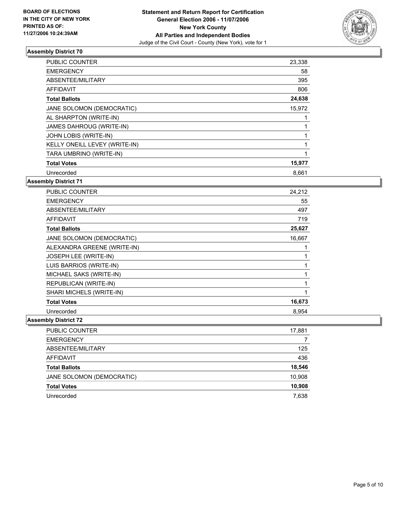

| <b>PUBLIC COUNTER</b>         | 23,338 |  |
|-------------------------------|--------|--|
| <b>EMERGENCY</b>              | 58     |  |
| ABSENTEE/MILITARY             | 395    |  |
| <b>AFFIDAVIT</b>              | 806    |  |
| <b>Total Ballots</b>          | 24,638 |  |
| JANE SOLOMON (DEMOCRATIC)     | 15,972 |  |
| AL SHARPTON (WRITE-IN)        |        |  |
| JAMES DAHROUG (WRITE-IN)      |        |  |
| JOHN LOBIS (WRITE-IN)         |        |  |
| KELLY ONEILL LEVEY (WRITE-IN) |        |  |
| TARA UMBRINO (WRITE-IN)       |        |  |
| <b>Total Votes</b>            | 15,977 |  |
| Unrecorded                    | 8,661  |  |

**Assembly District 71**

| <b>PUBLIC COUNTER</b>       | 24,212 |
|-----------------------------|--------|
| <b>EMERGENCY</b>            | 55     |
| ABSENTEE/MILITARY           | 497    |
| <b>AFFIDAVIT</b>            | 719    |
| <b>Total Ballots</b>        | 25,627 |
| JANE SOLOMON (DEMOCRATIC)   | 16,667 |
| ALEXANDRA GREENE (WRITE-IN) |        |
| JOSEPH LEE (WRITE-IN)       |        |
| LUIS BARRIOS (WRITE-IN)     |        |
| MICHAEL SAKS (WRITE-IN)     |        |
| REPUBLICAN (WRITE-IN)       |        |
| SHARI MICHELS (WRITE-IN)    |        |
| <b>Total Votes</b>          | 16,673 |
| Unrecorded                  | 8,954  |

| PUBLIC COUNTER            | 17,881 |
|---------------------------|--------|
| <b>EMERGENCY</b>          |        |
| ABSENTEE/MILITARY         | 125    |
| <b>AFFIDAVIT</b>          | 436    |
| <b>Total Ballots</b>      | 18,546 |
| JANE SOLOMON (DEMOCRATIC) | 10,908 |
| <b>Total Votes</b>        | 10,908 |
| Unrecorded                | 7,638  |
|                           |        |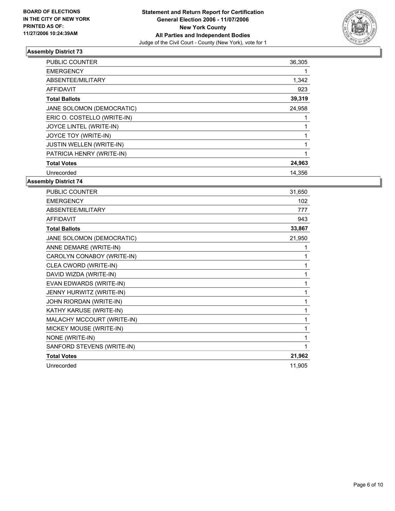

| <b>PUBLIC COUNTER</b>       | 36,305 |  |
|-----------------------------|--------|--|
| <b>EMERGENCY</b>            |        |  |
| ABSENTEE/MILITARY           | 1,342  |  |
| <b>AFFIDAVIT</b>            | 923    |  |
| <b>Total Ballots</b>        | 39,319 |  |
| JANE SOLOMON (DEMOCRATIC)   | 24,958 |  |
| ERIC O. COSTELLO (WRITE-IN) |        |  |
| JOYCE LINTEL (WRITE-IN)     |        |  |
| JOYCE TOY (WRITE-IN)        |        |  |
| JUSTIN WELLEN (WRITE-IN)    |        |  |
| PATRICIA HENRY (WRITE-IN)   |        |  |
| <b>Total Votes</b>          | 24,963 |  |
| Unrecorded                  | 14,356 |  |

| <b>PUBLIC COUNTER</b>      | 31,650 |
|----------------------------|--------|
| <b>EMERGENCY</b>           | 102    |
| ABSENTEE/MILITARY          | 777    |
| <b>AFFIDAVIT</b>           | 943    |
| <b>Total Ballots</b>       | 33,867 |
| JANE SOLOMON (DEMOCRATIC)  | 21,950 |
| ANNE DEMARE (WRITE-IN)     |        |
| CAROLYN CONABOY (WRITE-IN) |        |
| CLEA CWORD (WRITE-IN)      |        |
| DAVID WIZDA (WRITE-IN)     |        |
| EVAN EDWARDS (WRITE-IN)    |        |
| JENNY HURWITZ (WRITE-IN)   |        |
| JOHN RIORDAN (WRITE-IN)    |        |
| KATHY KARUSE (WRITE-IN)    |        |
| MALACHY MCCOURT (WRITE-IN) |        |
| MICKEY MOUSE (WRITE-IN)    |        |
| NONE (WRITE-IN)            |        |
| SANFORD STEVENS (WRITE-IN) |        |
| <b>Total Votes</b>         | 21,962 |
| Unrecorded                 | 11,905 |
|                            |        |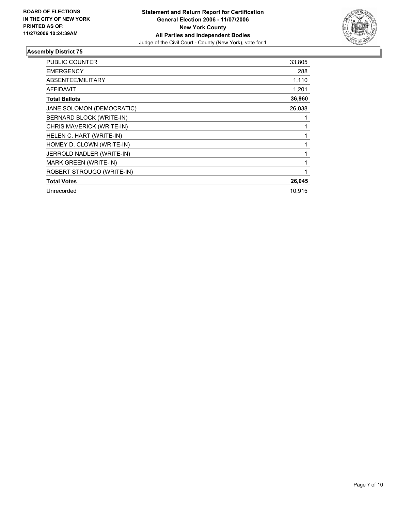

| PUBLIC COUNTER            | 33,805 |
|---------------------------|--------|
| <b>EMERGENCY</b>          | 288    |
| ABSENTEE/MILITARY         | 1,110  |
| <b>AFFIDAVIT</b>          | 1,201  |
| <b>Total Ballots</b>      | 36,960 |
| JANE SOLOMON (DEMOCRATIC) | 26,038 |
| BERNARD BLOCK (WRITE-IN)  |        |
| CHRIS MAVERICK (WRITE-IN) |        |
| HELEN C. HART (WRITE-IN)  |        |
| HOMEY D. CLOWN (WRITE-IN) |        |
| JERROLD NADLER (WRITE-IN) |        |
| MARK GREEN (WRITE-IN)     |        |
| ROBERT STROUGO (WRITE-IN) |        |
| <b>Total Votes</b>        | 26,045 |
| Unrecorded                | 10,915 |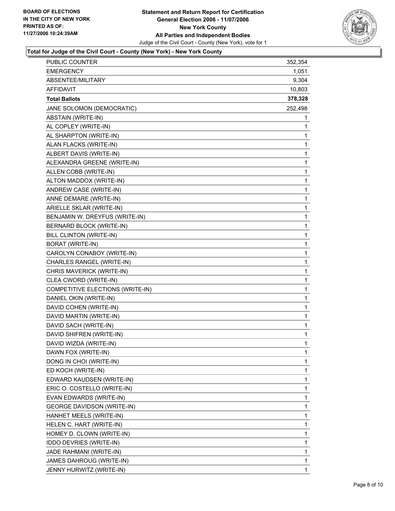

## **Total for Judge of the Civil Court - County (New York) - New York County**

| PUBLIC COUNTER                    | 352,354     |
|-----------------------------------|-------------|
| <b>EMERGENCY</b>                  | 1,051       |
| ABSENTEE/MILITARY                 | 9,304       |
| <b>AFFIDAVIT</b>                  | 10,803      |
| <b>Total Ballots</b>              | 378,328     |
| JANE SOLOMON (DEMOCRATIC)         | 252,498     |
| ABSTAIN (WRITE-IN)                | 1           |
| AL COPLEY (WRITE-IN)              | 1           |
| AL SHARPTON (WRITE-IN)            | 1           |
| ALAN FLACKS (WRITE-IN)            | 1           |
| ALBERT DAVIS (WRITE-IN)           | 1           |
| ALEXANDRA GREENE (WRITE-IN)       | 1           |
| ALLEN COBB (WRITE-IN)             | 1           |
| ALTON MADDOX (WRITE-IN)           | 1           |
| ANDREW CASE (WRITE-IN)            | 1           |
| ANNE DEMARE (WRITE-IN)            | 1           |
| ARIELLE SKLAR (WRITE-IN)          | 1           |
| BENJAMIN W. DREYFUS (WRITE-IN)    | 1           |
| BERNARD BLOCK (WRITE-IN)          | 1           |
| BILL CLINTON (WRITE-IN)           | 1           |
| <b>BORAT (WRITE-IN)</b>           | 1           |
| CAROLYN CONABOY (WRITE-IN)        | 1           |
| CHARLES RANGEL (WRITE-IN)         | 1           |
| CHRIS MAVERICK (WRITE-IN)         | 1           |
| CLEA CWORD (WRITE-IN)             | 1           |
| COMPETITIVE ELECTIONS (WRITE-IN)  | 1           |
| DANIEL OKIN (WRITE-IN)            | 1           |
| DAVID COHEN (WRITE-IN)            | 1           |
| DAVID MARTIN (WRITE-IN)           | 1           |
| DAVID SACH (WRITE-IN)             | 1           |
| DAVID SHIFREN (WRITE-IN)          | 1           |
| DAVID WIZDA (WRITE-IN)            | 1           |
| DAWN FOX (WRITE-IN)               | 1           |
| DONG IN CHOI (WRITE-IN)           | 1           |
| ED KOCH (WRITE-IN)                | 1           |
| EDWARD KAUDSEN (WRITE-IN)         | 1           |
| ERIC O. COSTELLO (WRITE-IN)       | 1           |
| EVAN EDWARDS (WRITE-IN)           | 1           |
| <b>GEORGE DAVIDSON (WRITE-IN)</b> | $\mathbf 1$ |
| HANHET MEELS (WRITE-IN)           | 1           |
| HELEN C. HART (WRITE-IN)          | $\mathbf 1$ |
| HOMEY D. CLOWN (WRITE-IN)         | 1           |
| IDDO DEVRIES (WRITE-IN)           | 1           |
| JADE RAHMANI (WRITE-IN)           | $\mathbf 1$ |
| JAMES DAHROUG (WRITE-IN)          | 1           |
| JENNY HURWITZ (WRITE-IN)          | 1           |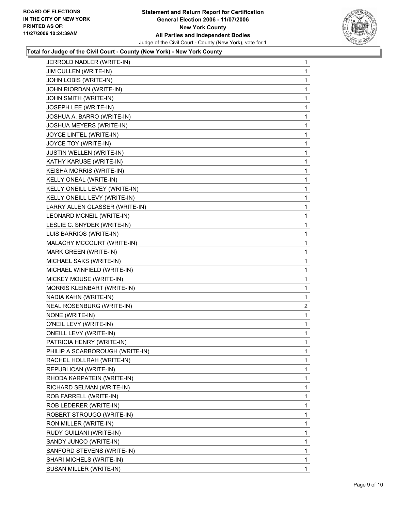

## **Total for Judge of the Civil Court - County (New York) - New York County**

| JERROLD NADLER (WRITE-IN)       | $\mathbf{1}$   |
|---------------------------------|----------------|
| JIM CULLEN (WRITE-IN)           | 1              |
| JOHN LOBIS (WRITE-IN)           | 1              |
| JOHN RIORDAN (WRITE-IN)         | 1              |
| JOHN SMITH (WRITE-IN)           | 1              |
| JOSEPH LEE (WRITE-IN)           | 1              |
| JOSHUA A. BARRO (WRITE-IN)      | 1              |
| JOSHUA MEYERS (WRITE-IN)        | 1              |
| JOYCE LINTEL (WRITE-IN)         | 1              |
| JOYCE TOY (WRITE-IN)            | 1              |
| <b>JUSTIN WELLEN (WRITE-IN)</b> | 1              |
| KATHY KARUSE (WRITE-IN)         | 1              |
| KEISHA MORRIS (WRITE-IN)        | 1              |
| KELLY ONEAL (WRITE-IN)          | 1              |
| KELLY ONEILL LEVEY (WRITE-IN)   | 1              |
| KELLY ONEILL LEVY (WRITE-IN)    | 1              |
| LARRY ALLEN GLASSER (WRITE-IN)  | 1              |
| LEONARD MCNEIL (WRITE-IN)       | 1              |
| LESLIE C. SNYDER (WRITE-IN)     | 1              |
| LUIS BARRIOS (WRITE-IN)         | 1              |
| MALACHY MCCOURT (WRITE-IN)      | 1              |
| MARK GREEN (WRITE-IN)           | 1              |
| MICHAEL SAKS (WRITE-IN)         | 1              |
| MICHAEL WINFIELD (WRITE-IN)     | $\mathbf 1$    |
| MICKEY MOUSE (WRITE-IN)         | 1              |
| MORRIS KLEINBART (WRITE-IN)     | 1              |
| NADIA KAHN (WRITE-IN)           | 1              |
| NEAL ROSENBURG (WRITE-IN)       | $\overline{c}$ |
| NONE (WRITE-IN)                 | 1              |
| O'NEIL LEVY (WRITE-IN)          | 1              |
| ONEILL LEVY (WRITE-IN)          | 1              |
| PATRICIA HENRY (WRITE-IN)       | 1              |
| PHILIP A SCARBOROUGH (WRITE-IN) | 1              |
| RACHEL HOLLRAH (WRITE-IN)       | 1              |
| REPUBLICAN (WRITE-IN)           | 1              |
| RHODA KARPATEIN (WRITE-IN)      | 1              |
| RICHARD SELMAN (WRITE-IN)       | 1              |
| ROB FARRELL (WRITE-IN)          | 1              |
| ROB LEDERER (WRITE-IN)          | 1              |
| ROBERT STROUGO (WRITE-IN)       | 1              |
| RON MILLER (WRITE-IN)           | 1              |
| RUDY GUILIANI (WRITE-IN)        | 1              |
| SANDY JUNCO (WRITE-IN)          | 1              |
| SANFORD STEVENS (WRITE-IN)      | 1              |
| SHARI MICHELS (WRITE-IN)        | 1              |
| SUSAN MILLER (WRITE-IN)         | 1              |